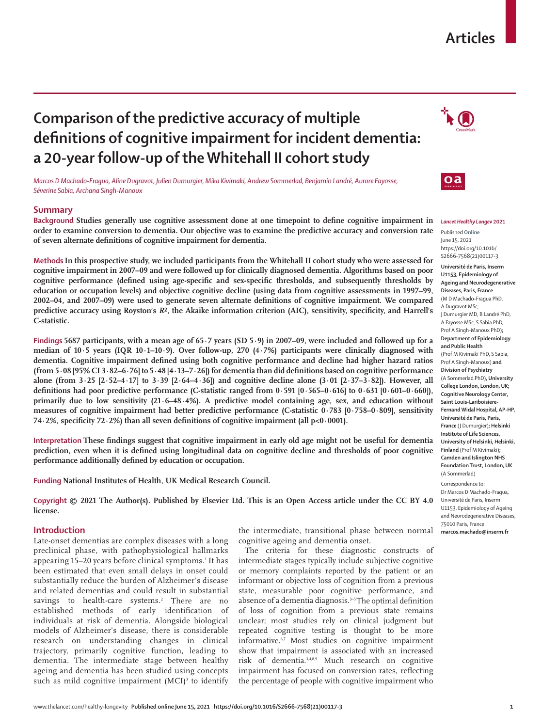# **Articles**

# **Comparison of the predictive accuracy of multiple definitions of cognitive impairment for incident dementia: a 20-year follow-up of the Whitehall II cohort study**

*Marcos D Machado-Fragua, Aline Dugravot, Julien Dumurgier, Mika Kivimaki, Andrew Sommerlad, Benjamin Landré, Aurore Fayosse, Séverine Sabia, Archana Singh-Manoux*

# **Summary**

**Background Studies generally use cognitive assessment done at one timepoint to define cognitive impairment in order to examine conversion to dementia. Our objective was to examine the predictive accuracy and conversion rate of seven alternate definitions of cognitive impairment for dementia.**

**MethodsIn this prospective study, we included participants from the Whitehall II cohort study who were assessed for cognitive impairment in 2007–09 and were followed up for clinically diagnosed dementia. Algorithms based on poor cognitive performance (defined using age-specific and sex-specific thresholds, and subsequently thresholds by education or occupation levels) and objective cognitive decline (using data from cognitive assessments in 1997–99, 2002–04, and 2007–09) were used to generate seven alternate definitions of cognitive impairment. We compared predictive accuracy using Royston's** *R***², the Akaike information criterion (AIC), sensitivity, specificity, and Harrell's C-statistic.**

**Findings 5687 participants, with a mean age of 65·7 years (SD 5·9) in 2007–09, were included and followed up for a median of 10·5 years (IQR 10·1–10·9). Over follow-up, 270 (4·7%) participants were clinically diagnosed with dementia. Cognitive impairment defined using both cognitive performance and decline had higher hazard ratios (from 5·08 [95% CI 3·82–6·76] to 5·48 [4·13–7·26]) for dementia than did definitions based on cognitive performance alone (from 3·25 [2·52–4·17] to 3·39 [2·64–4·36]) and cognitive decline alone (3·01 [2·37–3·82]). However, all definitions had poor predictive performance (C-statistic ranged from 0·591 [0·565–0·616] to 0·631 [0·601–0·660]), primarily due to low sensitivity (21·6–48·4%). A predictive model containing age, sex, and education without measures of cognitive impairment had better predictive performance (C-statistic 0·783 [0·758–0·809], sensitivity 74·2%, specificity 72·2%) than all seven definitions of cognitive impairment (all p<0·0001).**

**Interpretation These findings suggest that cognitive impairment in early old age might not be useful for dementia prediction, even when it is defined using longitudinal data on cognitive decline and thresholds of poor cognitive performance additionally defined by education or occupation.**

**Funding National Institutes of Health, UK Medical Research Council.**

**Copyright © 2021 The Author(s). Published by Elsevier Ltd. This is an Open Access article under the CC BY 4.0 license.**

# **Introduction**

Late-onset dementias are complex diseases with a long preclinical phase, with pathophysiological hallmarks appearing 15–20 years before clinical symptoms.1 It has been estimated that even small delays in onset could substantially reduce the burden of Alzheimer's disease and related dementias and could result in substantial savings to health-care systems.<sup>2</sup> There are no established methods of early identification of individuals at risk of dementia. Alongside biological models of Alzheimer's disease, there is considerable research on understanding changes in clinical trajectory, primarily cognitive function, leading to dementia. The intermediate stage between healthy ageing and dementia has been studied using concepts such as mild cognitive impairment  $(MCI)^3$  to identify the intermediate, transitional phase between normal cognitive ageing and dementia onset.

The criteria for these diagnostic constructs of intermediate stages typically include subjective cognitive or memory complaints reported by the patient or an informant or objective loss of cognition from a previous state, measurable poor cognitive performance, and absence of a dementia diagnosis.<sup>3-5</sup> The optimal definition of loss of cognition from a previous state remains unclear; most studies rely on clinical judgment but repeated cognitive testing is thought to be more informative.6,7 Most studies on cognitive impairment show that impairment is associated with an increased risk of dementia.3,4,8,9 Much research on cognitive impairment has focused on conversion rates, reflecting the percentage of people with cognitive impairment who





#### *Lancet Healthy Longev* **2021**

Published **Online** June 15, 2021 https://doi.org/10.1016/ S2666-7568(21)00117-3

**Université de Paris, Inserm U1153, Epidemiology of Ageing and Neurodegenerative Diseases, Paris, France**  (M D Machado-Fragua PhD, A Dugravot MSc, J Dumurgier MD, B Landré PhD, A Fayosse MSc, S Sabia PhD, Prof A Singh-Manoux PhD)**; Department of Epidemiology and Public Health** (Prof M Kivimaki PhD, S Sabia, Prof A Singh-Manoux) **and Division of Psychiatry** (A Sommerlad PhD)**, University College London, London, UK; Cognitive Neurology Center, Saint Louis-Lariboisiere-Fernand Widal Hospital, AP-HP, Université de Paris, Paris, France** (J Dumurgier)**; Helsinki Institute of Life Sciences, University of Helsinki, Helsinki, Finland** (Prof M Kivimaki)**; Camden and Islington NHS Foundation Trust, London, UK**  (A Sommerlad)

Correspondence to: Dr Marcos D Machado-Fragua, Université de Paris, Inserm U1153, Epidemiology of Ageing and Neurodegenerative Diseases, 75010 Paris, France **marcos.machado@inserm.fr**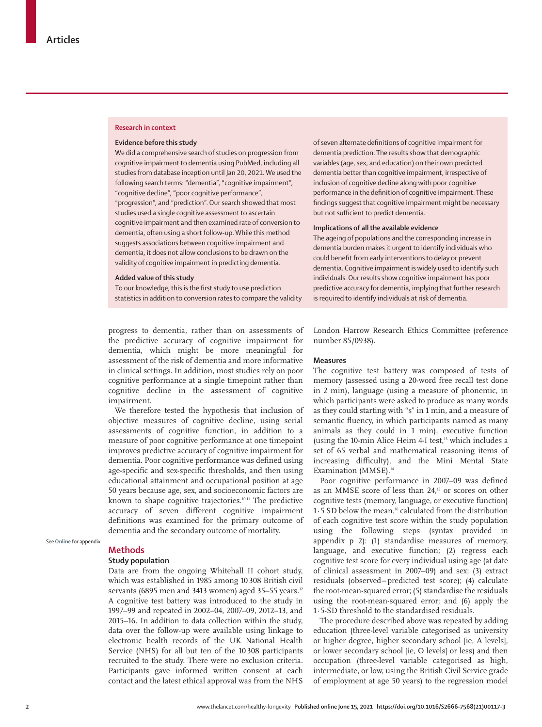#### **Research in context**

### **Evidence before this study**

We did a comprehensive search of studies on progression from cognitive impairment to dementia using PubMed, including all studies from database inception until Jan 20, 2021. We used the following search terms: "dementia", "cognitive impairment", "cognitive decline", "poor cognitive performance", "progression", and "prediction". Our search showed that most studies used a single cognitive assessment to ascertain cognitive impairment and then examined rate of conversion to dementia, often using a short follow-up. While this method suggests associations between cognitive impairment and dementia, it does not allow conclusions to be drawn on the validity of cognitive impairment in predicting dementia.

## **Added value of this study**

To our knowledge, this is the first study to use prediction statistics in addition to conversion rates to compare the validity

progress to dementia, rather than on assessments of the predictive accuracy of cognitive impairment for dementia, which might be more meaningful for assessment of the risk of dementia and more informative in clinical settings. In addition, most studies rely on poor cognitive performance at a single timepoint rather than cognitive decline in the assessment of cognitive impairment.

We therefore tested the hypothesis that inclusion of objective measures of cognitive decline, using serial assessments of cognitive function, in addition to a measure of poor cognitive performance at one timepoint improves predictive accuracy of cognitive impairment for dementia. Poor cognitive performance was defined using age-specific and sex-specific thresholds, and then using educational attainment and occupational position at age 50 years because age, sex, and socioeconomic factors are known to shape cognitive trajectories.10,11 The predictive accuracy of seven different cognitive impairment definitions was examined for the primary outcome of dementia and the secondary outcome of mortality.

See **Online** for appendix

## **Methods**

## **Study population**

Data are from the ongoing Whitehall II cohort study, which was established in 1985 among 10 308 British civil servants (6895 men and 3413 women) aged 35-55 years.<sup>12</sup> A cognitive test battery was introduced to the study in 1997–99 and repeated in 2002–04, 2007–09, 2012–13, and 2015–16. In addition to data collection within the study, data over the follow-up were available using linkage to electronic health records of the UK National Health Service (NHS) for all but ten of the 10308 participants recruited to the study. There were no exclusion criteria. Participants gave informed written consent at each contact and the latest ethical approval was from the NHS of seven alternate definitions of cognitive impairment for dementia prediction. The results show that demographic variables (age, sex, and education) on their own predicted dementia better than cognitive impairment, irrespective of inclusion of cognitive decline along with poor cognitive performance in the definition of cognitive impairment. These findings suggest that cognitive impairment might be necessary but not sufficient to predict dementia.

#### **Implications of all the available evidence**

The ageing of populations and the corresponding increase in dementia burden makes it urgent to identify individuals who could benefit from early interventions to delay or prevent dementia. Cognitive impairment is widely used to identify such individuals. Our results show cognitive impairment has poor predictive accuracy for dementia, implying that further research is required to identify individuals at risk of dementia.

London Harrow Research Ethics Committee (reference number 85/0938).

## **Measures**

The cognitive test battery was composed of tests of memory (assessed using a 20-word free recall test done in 2 min), language (using a measure of phonemic, in which participants were asked to produce as many words as they could starting with "s" in 1 min, and a measure of semantic fluency, in which participants named as many animals as they could in 1 min), executive function (using the 10-min Alice Heim 4-I test,<sup>13</sup> which includes a set of 65 verbal and mathematical reasoning items of increasing difficulty), and the Mini Mental State Examination (MMSE).<sup>14</sup>

Poor cognitive performance in 2007–09 was defined as an MMSE score of less than 24,<sup>15</sup> or scores on other cognitive tests (memory, language, or executive function) 1 $\cdot$  5 SD below the mean,<sup>16</sup> calculated from the distribution of each cognitive test score within the study population using the following steps (syntax provided in appendix p 2): (1) standardise measures of memory, language, and executive function; (2) regress each cognitive test score for every individual using age (at date of clinical assessment in 2007–09) and sex; (3) extract residuals (observed–predicted test score); (4) calculate the root-mean-squared error; (5) standardise the residuals using the root-mean-squared error; and (6) apply the 1·5-SD threshold to the standardised residuals.

The procedure described above was repeated by adding education (three-level variable categorised as university or higher degree, higher secondary school [ie, A levels], or lower secondary school [ie, O levels] or less) and then occupation (three-level variable categorised as high, intermediate, or low, using the British Civil Service grade of employment at age 50 years) to the regression model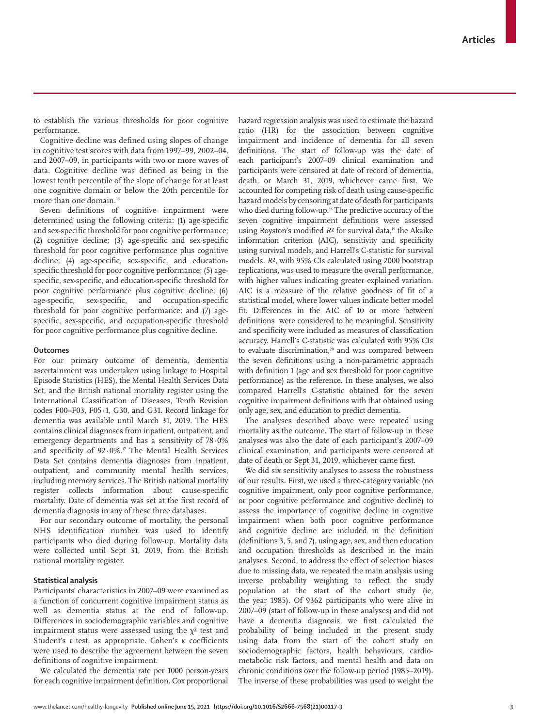to establish the various thresholds for poor cognitive performance.

Cognitive decline was defined using slopes of change in cognitive test scores with data from 1997–99, 2002–04, and 2007–09, in participants with two or more waves of data. Cognitive decline was defined as being in the lowest tenth percentile of the slope of change for at least one cognitive domain or below the 20th percentile for more than one domain.<sup>16</sup>

Seven definitions of cognitive impairment were determined using the following criteria: (1) age-specific and sex-specific threshold for poor cognitive performance; (2) cognitive decline; (3) age-specific and sex-specific threshold for poor cognitive performance plus cognitive decline; (4) age-specific, sex-specific, and educationspecific threshold for poor cognitive performance; (5) agespecific, sex-specific, and education-specific threshold for poor cognitive performance plus cognitive decline; (6) age-specific, sex-specific, and occupation-specific threshold for poor cognitive performance; and (7) agespecific, sex-specific, and occupation-specific threshold for poor cognitive performance plus cognitive decline.

## **Outcomes**

For our primary outcome of dementia, dementia ascertainment was undertaken using linkage to Hospital Episode Statistics (HES), the Mental Health Services Data Set, and the British national mortality register using the International Classification of Diseases, Tenth Revision codes F00–F03, F05·1, G30, and G31. Record linkage for dementia was available until March 31, 2019. The HES contains clinical diagnoses from inpatient, outpatient, and emergency departments and has a sensitivity of 78·0% and specificity of 92·0%.17 The Mental Health Services Data Set contains dementia diagnoses from inpatient, outpatient, and community mental health services, including memory services. The British national mortality register collects information about cause-specific mortality. Date of dementia was set at the first record of dementia diagnosis in any of these three databases.

For our secondary outcome of mortality, the personal NHS identification number was used to identify participants who died during follow-up. Mortality data were collected until Sept 31, 2019, from the British national mortality register.

# **Statistical analysis**

Participants' characteristics in 2007–09 were examined as a function of concurrent cognitive impairment status as well as dementia status at the end of follow-up. Differences in sociodemographic variables and cognitive impairment status were assessed using the  $\chi^2$  test and Student's *t* test, as appropriate. Cohen's κ coefficients were used to describe the agreement between the seven definitions of cognitive impairment.

We calculated the dementia rate per 1000 person-years for each cognitive impairment definition. Cox proportional hazard regression analysis was used to estimate the hazard ratio (HR) for the association between cognitive impairment and incidence of dementia for all seven definitions. The start of follow-up was the date of each participant's 2007–09 clinical examination and participants were censored at date of record of dementia, death, or March 31, 2019, whichever came first. We accounted for competing risk of death using cause-specific hazard models by censoring at date of death for participants who died during follow-up.<sup>18</sup> The predictive accuracy of the seven cognitive impairment definitions were assessed using Royston's modified *R*² for survival data, 19 the Akaike information criterion (AIC), sensitivity and specificity using survival models, and Harrell's C-statistic for survival models. *R*², with 95% CIs calculated using 2000 bootstrap replications, was used to measure the overall performance, with higher values indicating greater explained variation. AIC is a measure of the relative goodness of fit of a statistical model, where lower values indicate better model fit. Differences in the AIC of 10 or more between definitions were considered to be meaningful. Sensitivity and specificity were included as measures of classification accuracy. Harrell's C-statistic was calculated with 95% CIs to evaluate discrimination,<sup>20</sup> and was compared between the seven definitions using a non-parametric approach with definition 1 (age and sex threshold for poor cognitive performance) as the reference. In these analyses, we also compared Harrell's C-statistic obtained for the seven cognitive impairment definitions with that obtained using only age, sex, and education to predict dementia.

The analyses described above were repeated using mortality as the outcome. The start of follow-up in these analyses was also the date of each participant's 2007–09 clinical examination, and participants were censored at date of death or Sept 31, 2019, whichever came first.

We did six sensitivity analyses to assess the robustness of our results. First, we used a three-category variable (no cognitive impairment, only poor cognitive performance, or poor cognitive performance and cognitive decline) to assess the importance of cognitive decline in cognitive impairment when both poor cognitive performance and cognitive decline are included in the definition (definitions 3, 5, and 7), using age, sex, and then education and occupation thresholds as described in the main analyses. Second, to address the effect of selection biases due to missing data, we repeated the main analysis using inverse probability weighting to reflect the study population at the start of the cohort study (ie, the year 1985). Of 9362 participants who were alive in 2007–09 (start of follow-up in these analyses) and did not have a dementia diagnosis, we first calculated the probability of being included in the present study using data from the start of the cohort study on sociodemographic factors, health behaviours, cardiometabolic risk factors, and mental health and data on chronic conditions over the follow-up period (1985–2019). The inverse of these probabilities was used to weight the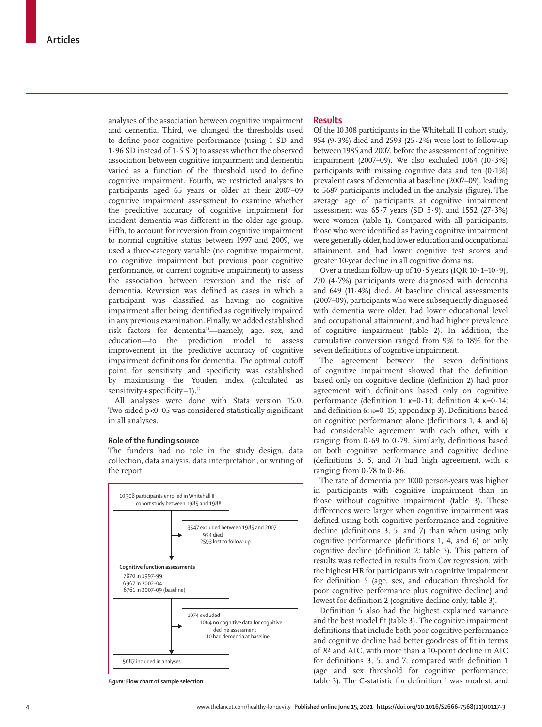analyses of the association between cognitive impairment and dementia. Third, we changed the thresholds used to define poor cognitive performance (using 1 SD and 1·96 SD instead of 1·5 SD) to assess whether the observed association between cognitive impairment and dementia varied as a function of the threshold used to define cognitive impairment. Fourth, we restricted analyses to participants aged 65 years or older at their 2007–09 cognitive impairment assessment to examine whether the predictive accuracy of cognitive impairment for incident dementia was different in the older age group. Fifth, to account for reversion from cognitive impairment to normal cognitive status between 1997 and 2009, we used a three-category variable (no cognitive impairment, no cognitive impairment but previous poor cognitive performance, or current cognitive impairment) to assess the association between reversion and the risk of dementia. Reversion was defined as cases in which a participant was classified as having no cognitive impairment after being identified as cognitively impaired in any previous examination. Finally, we added established risk factors for dementia<sup>21</sup>-namely, age, sex, and education—to the prediction model to assess improvement in the predictive accuracy of cognitive impairment definitions for dementia. The optimal cutoff point for sensitivity and specificity was established by maximising the Youden index (calculated as sensitivity + specificity  $-1$ ).<sup>22</sup>

All analyses were done with Stata version 15.0. Two-sided p<0·05 was considered statistically significant in all analyses.

# **Role of the funding source**

The funders had no role in the study design, data collection, data analysis, data interpretation, or writing of the report.



## **Results**

Of the 10308 participants in the Whitehall II cohort study, 954 (9·3%) died and 2593 (25·2%) were lost to follow-up between 1985 and 2007, before the assessment of cognitive impairment (2007–09). We also excluded 1064 (10·3%) participants with missing cognitive data and ten  $(0.1\%)$ prevalent cases of dementia at baseline (2007–09), leading to 5687 participants included in the analysis (figure). The average age of participants at cognitive impairment assessment was  $65.7$  years (SD  $5.9$ ), and  $1552$  (27 $.3\%$ ) were women (table 1). Compared with all participants, those who were identified as having cognitive impairment were generally older, had lower education and occupational attainment, and had lower cognitive test scores and greater 10-year decline in all cognitive domains.

Over a median follow-up of  $10.5$  years (IQR  $10.1-10.9$ ), 270 (4·7%) participants were diagnosed with dementia and 649 (11·4%) died. At baseline clinical assessments (2007–09), participants who were subsequently diagnosed with dementia were older, had lower educational level and occupational attainment, and had higher prevalence of cognitive impairment (table 2). In addition, the cumulative conversion ranged from 9% to 18% for the seven definitions of cognitive impairment.

The agreement between the seven definitions of cognitive impairment showed that the definition based only on cognitive decline (definition 2) had poor agreement with definitions based only on cognitive performance (definition 1: κ=0·13; definition 4: κ=0·14; and definition 6: κ=0·15; appendix p 3). Definitions based on cognitive performance alone (definitions 1, 4, and 6) had considerable agreement with each other, with κ ranging from 0·69 to 0·79. Similarly, definitions based on both cognitive performance and cognitive decline (definitions 3, 5, and 7) had high agreement, with κ ranging from  $0.78$  to  $0.86$ .

The rate of dementia per 1000 person-years was higher in participants with cognitive impairment than in those without cognitive impairment (table 3). These differences were larger when cognitive impairment was defined using both cognitive performance and cognitive decline (definitions 3, 5, and 7) than when using only cognitive performance (definitions 1, 4, and 6) or only cognitive decline (definition 2; table 3). This pattern of results was reflected in results from Cox regression, with the highest HR for participants with cognitive impairment for definition 5 (age, sex, and education threshold for poor cognitive performance plus cognitive decline) and lowest for definition 2 (cognitive decline only; table 3).

Definition 5 also had the highest explained variance and the best model fit (table 3). The cognitive impairment definitions that include both poor cognitive performance and cognitive decline had better goodness of fit in terms of *R*² and AIC, with more than a 10-point decline in AIC for definitions 3, 5, and 7, compared with definition 1 (age and sex threshold for cognitive performance; *Figure:* **Flow chart of sample selection** table 3). The C-statistic for definition 1 was modest, and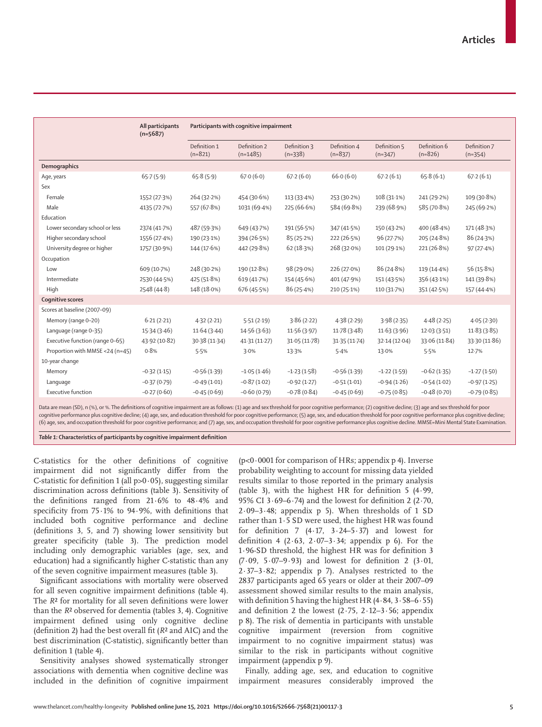|                                 | All participants<br>$(n=5687)$ | Participants with cognitive impairment |                            |                           |                           |                           |                           |                           |  |
|---------------------------------|--------------------------------|----------------------------------------|----------------------------|---------------------------|---------------------------|---------------------------|---------------------------|---------------------------|--|
|                                 |                                | Definition 1<br>$(n=821)$              | Definition 2<br>$(n=1485)$ | Definition 3<br>$(n=338)$ | Definition 4<br>$(n=837)$ | Definition 5<br>$(n=347)$ | Definition 6<br>$(n=826)$ | Definition 7<br>$(n=354)$ |  |
| Demographics                    |                                |                                        |                            |                           |                           |                           |                           |                           |  |
| Age, years                      | 65.7(5.9)                      | 65.8(5.9)                              | 67.0(6.0)                  | 67.2(6.0)                 | 66.0(6.0)                 | 67.2(6.1)                 | 65.8(6.1)                 | 67.2(6.1)                 |  |
| Sex                             |                                |                                        |                            |                           |                           |                           |                           |                           |  |
| Female                          | 1552 (27.3%)                   | 264 (32.2%)                            | 454 (30.6%)                | 113(33.4%)                | 253 (30.2%)               | 108 (31.1%)               | 241 (29.2%)               | 109 (30.8%)               |  |
| Male                            | 4135 (72.7%)                   | 557 (67.8%)                            | 1031 (69.4%)               | 225 (66.6%)               | 584 (69.8%)               | 239 (68.9%)               | 585 (70.8%)               | 245 (69.2%)               |  |
| Education                       |                                |                                        |                            |                           |                           |                           |                           |                           |  |
| Lower secondary school or less  | 2374 (41.7%)                   | 487 (59.3%)                            | 649 (43.7%)                | 191 (56.5%)               | 347 (41.5%)               | 150 (43.2%)               | 400 (48.4%)               | 171 (48.3%)               |  |
| Higher secondary school         | 1556 (27.4%)                   | 190 (23.1%)                            | 394 (26.5%)                | 85 (25.2%)                | 222 (26.5%)               | 96 (27.7%)                | 205 (24.8%)               | 86 (24.3%)                |  |
| University degree or higher     | 1757 (30.9%)                   | 144 (17.6%)                            | 442 (29.8%)                | 62 (18.3%)                | 268 (32.0%)               | 101(29.1%)                | 221 (26.8%)               | 97(27.4%)                 |  |
| Occupation                      |                                |                                        |                            |                           |                           |                           |                           |                           |  |
| Low                             | 609 (10.7%)                    | 248 (30.2%)                            | 190 (12.8%)                | 98 (29.0%)                | 226 (27.0%)               | 86 (24.8%)                | 119 (14.4%)               | 56(15.8%)                 |  |
| Intermediate                    | 2530 (44.5%)                   | 425 (51.8%)                            | 619 (41.7%)                | 154 (45.6%)               | 401 (47.9%)               | 151 (43.5%)               | 356 (43.1%)               | 141 (39.8%)               |  |
| High                            | 2548 (44.8)                    | 148 (18.0%)                            | 676 (45.5%)                | 86(25.4%)                 | 210 (25.1%)               | 110 (31.7%)               | 351 (42.5%)               | 157 (44.4%)               |  |
| <b>Cognitive scores</b>         |                                |                                        |                            |                           |                           |                           |                           |                           |  |
| Scores at baseline (2007-09)    |                                |                                        |                            |                           |                           |                           |                           |                           |  |
| Memory (range 0-20)             | 6.21(2.21)                     | 4.32(2.21)                             | 5.51(2.19)                 | 3.86(2.22)                | 4.38(2.29)                | 3.98(2.35)                | 4.48(2.25)                | 4.05(2.30)                |  |
| Language (range 0-35)           | 15.34(3.46)                    | 11.64(3.44)                            | 14.56 (3.63)               | 11.56(3.97)               | 11.78(3.48)               | 11.63(3.96)               | 12.03(3.51)               | 11.83(3.85)               |  |
| Executive function (range 0-65) | 43.92 (10.82)                  | 30.38 (11.34)                          | 41.31(11.27)               | 31.05(11.78)              | 31.35(11.74)              | 32.14(12.04)              | 33.06 (11.84)             | 33.30 (11.86)             |  |
| Proportion with MMSE <24 (n=45) | 0.8%                           | 5.5%                                   | 3.0%                       | 13.3%                     | 5.4%                      | 13.0%                     | 5.5%                      | 12.7%                     |  |
| 10-year change                  |                                |                                        |                            |                           |                           |                           |                           |                           |  |
| Memory                          | $-0.32(1.15)$                  | $-0.56(1.39)$                          | $-1.05(1.46)$              | $-1.23(1.58)$             | $-0.56(1.39)$             | $-1.22(1.59)$             | $-0.62(1.35)$             | $-1.27(1.50)$             |  |
| Language                        | $-0.37(0.79)$                  | $-0.49(1.01)$                          | $-0.87(1.02)$              | $-0.92(1.27)$             | $-0.51(1.01)$             | $-0.94(1.26)$             | $-0.54(1.02)$             | $-0.97(1.25)$             |  |
| <b>Executive function</b>       | $-0.27(0.60)$                  | $-0.45(0.69)$                          | $-0.60(0.79)$              | $-0.78(0.84)$             | $-0.45(0.69)$             | $-0.75(0.85)$             | $-0.48(0.70)$             | $-0.79(0.85)$             |  |

Data are mean (SD), n (%), or %. The definitions of cognitive impairment are as follows: (1) age and sex threshold for poor cognitive performance; (2) cognitive decline; (3) age and sex threshold for poor cognitive performance plus cognitive decline; (4) age, sex, and education threshold for poor cognitive performance; (5) age, sex, and education threshold for poor cognitive performance plus cognitive decline; (6) age, sex, and occupation threshold for poor cognitive performance; and (7) age, sex, and occupation threshold for poor cognitive performance plus cognitive decline. MMSE=Mini Mental State Examination.

*Table 1:* **Characteristics of participants by cognitive impairment definition**

C-statistics for the other definitions of cognitive impairment did not significantly differ from the C-statistic for definition 1 (all  $p>0.05$ ), suggesting similar discrimination across definitions (table 3). Sensitivity of the definitions ranged from 21·6% to 48·4% and specificity from 75·1% to 94·9%, with definitions that included both cognitive performance and decline (definitions 3, 5, and 7) showing lower sensitivity but greater specificity (table 3). The prediction model including only demographic variables (age, sex, and education) had a significantly higher C-statistic than any of the seven cognitive impairment measures (table 3).

Significant associations with mortality were observed for all seven cognitive impairment definitions (table 4). The *R*² for mortality for all seven definitions were lower than the *R*² observed for dementia (tables 3, 4). Cognitive impairment defined using only cognitive decline (definition 2) had the best overall fit (*R*² and AIC) and the best discrimination (C-statistic), significantly better than definition 1 (table 4).

Sensitivity analyses showed systematically stronger associations with dementia when cognitive decline was included in the definition of cognitive impairment  $(p<0.0001$  for comparison of HRs; appendix p 4). Inverse probability weighting to account for missing data yielded results similar to those reported in the primary analysis (table 3), with the highest HR for definition 5 (4·99, 95% CI 3·69–6·74) and the lowest for definition 2 (2·70, 2·09-3·48; appendix  $p$  5). When thresholds of  $1$  SD rather than 1·5 SD were used, the highest HR was found for definition 7  $(4.17, 3.24-5.37)$  and lowest for definition 4 (2 $\cdot$  63, 2 $\cdot$  07 $-$ 3 $\cdot$ 34; appendix p 6). For the 1·96-SD threshold, the highest HR was for definition 3 (7·09, 5·07–9·93) and lowest for definition 2 (3·01, 2·37–3·82; appendix p 7). Analyses restricted to the 2837 participants aged 65 years or older at their 2007–09 assessment showed similar results to the main analysis, with definition 5 having the highest HR (4·84, 3·58–6·55) and definition 2 the lowest  $(2.75, 2.12-3.56;$  appendix p 8). The risk of dementia in participants with unstable cognitive impairment (reversion from cognitive impairment to no cognitive impairment status) was similar to the risk in participants without cognitive impairment (appendix p 9).

Finally, adding age, sex, and education to cognitive impairment measures considerably improved the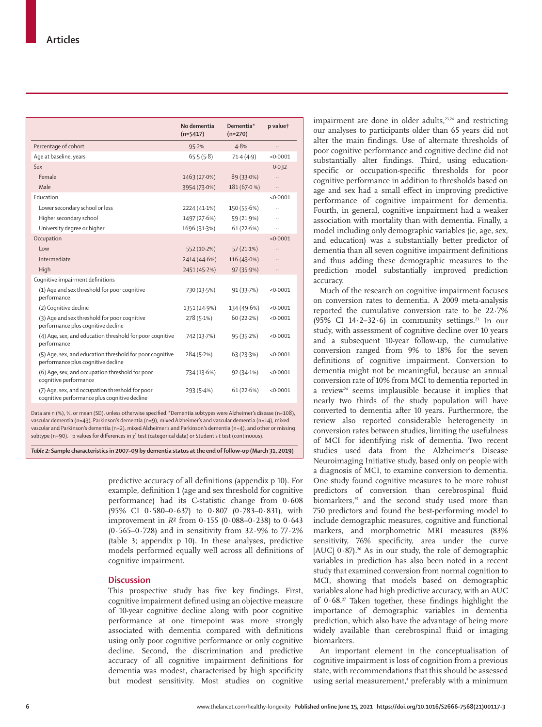|                                                                                                 | No dementia<br>$(n=5417)$ | Dementia*<br>$(n=270)$ | p valuet             |
|-------------------------------------------------------------------------------------------------|---------------------------|------------------------|----------------------|
| Percentage of cohort                                                                            | 95.2%                     | 4.8%                   |                      |
| Age at baseline, years                                                                          | 65.5(5.8)                 | 71.4(4.9)              | < 0.0001             |
| Sex                                                                                             |                           |                        | 0.032                |
| Female                                                                                          | 1463 (27.0%)              | 89 (33.0%)             | $\ldots$             |
| Male                                                                                            | 3954 (73.0%)              | 181 (67.0%)            |                      |
| Education                                                                                       |                           |                        | < 0.0001             |
| Lower secondary school or less                                                                  | 2224 (41.1%)              | 150 (55.6%)            | $\ddot{\phantom{a}}$ |
| Higher secondary school                                                                         | 1497 (27.6%)              | 59 (21.9%)             | $\ddot{\phantom{a}}$ |
| University degree or higher                                                                     | 1696 (31.3%)              | 61(22.6%)              | $\ddot{\phantom{a}}$ |
| Occupation                                                                                      |                           |                        | < 0.0001             |
| Low                                                                                             | 552 (10.2%)               | $57(21.1\%)$           |                      |
| Intermediate                                                                                    | 2414 (44.6%)              | $116(43.0\%)$          |                      |
| High                                                                                            | 2451 (45.2%)              | 97(35.9%)              |                      |
| Cognitive impairment definitions                                                                |                           |                        |                      |
| (1) Age and sex threshold for poor cognitive<br>performance                                     | 730 (13.5%)               | 91(33.7%)              | < 0.0001             |
| (2) Cognitive decline                                                                           | 1351 (24.9%)              | 134 (49.6%)            | < 0.0001             |
| (3) Age and sex threshold for poor cognitive<br>performance plus cognitive decline              | $278(5.1\%)$              | 60(22.2%)              | < 0.0001             |
| (4) Age, sex, and education threshold for poor cognitive<br>performance                         | 742 (13.7%)               | 95(35.2%)              | < 0.0001             |
| (5) Age, sex, and education threshold for poor cognitive<br>performance plus cognitive decline  | 284(5.2%)                 | 63 (23.3%)             | < 0.0001             |
| (6) Age, sex, and occupation threshold for poor<br>cognitive performance                        | 734 (13.6%)               | 92(34.1%)              | < 0.0001             |
| (7) Age, sex, and occupation threshold for poor<br>cognitive performance plus cognitive decline | 293(5.4%)                 | 61(22.6%)              | < 0.0001             |

Data are n (%), %, or mean (SD), unless otherwise specified. \*Dementia subtypes were Alzheimer's disease (n=108), vascular dementia (n=43), Parkinson's dementia (n=9), mixed Alzheimer's and vascular dementia (n=14), mixed vascular and Parkinson's dementia (n=2), mixed Alzheimer's and Parkinson's dementia (n=4), and other or missing subtype (n=90). †p values for differences in χ² test (categorical data) or Student's *t* test (continuous).

*Table 2:* **Sample characteristics in 2007–09 by dementia status at the end of follow-up (March 31, 2019)**

predictive accuracy of all definitions (appendix p 10). For example, definition 1 (age and sex threshold for cognitive performance) had its C-statistic change from 0·608 (95% CI 0·580–0·637) to 0·807 (0·783–0·831), with improvement in *R*² from 0·155 (0·088–0·238) to 0·643 (0·565–0·728) and in sensitivity from 32·9% to 77·2% (table 3; appendix p 10). In these analyses, predictive models performed equally well across all definitions of cognitive impairment.

# **Discussion**

This prospective study has five key findings. First, cognitive impairment defined using an objective measure of 10-year cognitive decline along with poor cognitive performance at one timepoint was more strongly associated with dementia compared with definitions using only poor cognitive performance or only cognitive decline. Second, the discrimination and predictive accuracy of all cognitive impairment definitions for dementia was modest, characterised by high specificity but modest sensitivity. Most studies on cognitive impairment are done in older adults, $23,24$  and restricting our analyses to participants older than 65 years did not alter the main findings. Use of alternate thresholds of poor cognitive performance and cognitive decline did not substantially alter findings. Third, using educationspecific or occupation-specific thresholds for poor cognitive performance in addition to thresholds based on age and sex had a small effect in improving predictive performance of cognitive impairment for dementia. Fourth, in general, cognitive impairment had a weaker association with mortality than with dementia. Finally, a model including only demographic variables (ie, age, sex, and education) was a substantially better predictor of dementia than all seven cognitive impairment definitions and thus adding these demographic measures to the prediction model substantially improved prediction accuracy.

Much of the research on cognitive impairment focuses on conversion rates to dementia. A 2009 meta-analysis reported the cumulative conversion rate to be 22·7% (95% CI  $14.2-32.6$ ) in community settings.<sup>23</sup> In our study, with assessment of cognitive decline over 10 years and a subsequent 10-year follow-up, the cumulative conversion ranged from 9% to 18% for the seven definitions of cognitive impairment. Conversion to dementia might not be meaningful, because an annual conversion rate of 10% from MCI to dementia reported in a review<sup>24</sup> seems implausible because it implies that nearly two thirds of the study population will have converted to dementia after 10 years. Furthermore, the review also reported considerable heterogeneity in conversion rates between studies, limiting the usefulness of MCI for identifying risk of dementia. Two recent studies used data from the Alzheimer's Disease Neuroimaging Initiative study, based only on people with a diagnosis of MCI, to examine conversion to dementia. One study found cognitive measures to be more robust predictors of conversion than cerebrospinal fluid biomarkers,<sup>25</sup> and the second study used more than 750 predictors and found the best-performing model to include demographic measures, cognitive and functional markers, and morphometric MRI measures (83% sensitivity, 76% specificity, area under the curve [AUC]  $0.87$ ].<sup>26</sup> As in our study, the role of demographic variables in prediction has also been noted in a recent study that examined conversion from normal cognition to MCI, showing that models based on demographic variables alone had high predictive accuracy, with an AUC of  $0.68$ .<sup>27</sup> Taken together, these findings highlight the importance of demographic variables in dementia prediction, which also have the advantage of being more widely available than cerebrospinal fluid or imaging biomarkers.

An important element in the conceptualisation of cognitive impairment is loss of cognition from a previous state, with recommendations that this should be assessed using serial measurement,<sup>4</sup> preferably with a minimum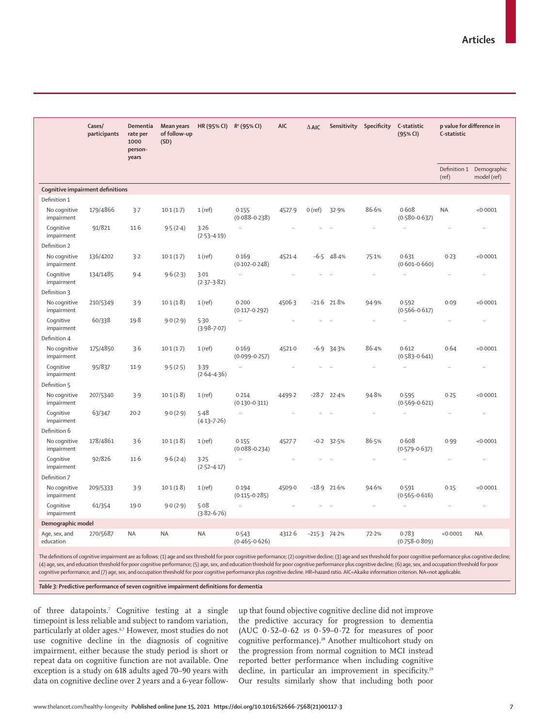|                                  | Cases/<br>participants | Dementia<br>rate per<br>1000<br>person-<br>years | Mean years<br>of follow-up<br>(SD) | HR (95% CI)             | $R^2$ (95% CI)             | <b>AIC</b>           | $\triangle$ AIC      | Sensitivity          | Specificity          | C-statistic<br>(95% CI)    | p value for difference in<br>C-statistic |                            |
|----------------------------------|------------------------|--------------------------------------------------|------------------------------------|-------------------------|----------------------------|----------------------|----------------------|----------------------|----------------------|----------------------------|------------------------------------------|----------------------------|
|                                  |                        |                                                  |                                    |                         |                            |                      |                      |                      |                      |                            | Definition 1<br>(ref)                    | Demographic<br>model (ref) |
| Cognitive impairment definitions |                        |                                                  |                                    |                         |                            |                      |                      |                      |                      |                            |                                          |                            |
| Definition 1                     |                        |                                                  |                                    |                         |                            |                      |                      |                      |                      |                            |                                          |                            |
| No cognitive<br>impairment       | 179/4866               | 3.7                                              | $10-1(1-7)$                        | $1$ (ref)               | 0.155<br>$(0.088 - 0.238)$ | 4527.9               | $0$ (ref)            | 32.9%                | 86.6%                | 0.608<br>$(0.580 - 0.637)$ | <b>NA</b>                                | < 0.0001                   |
| Cognitive<br>impairment          | 91/821                 | 11.6                                             | 9.5(2.4)                           | 3.26<br>$(2.53 - 4.19)$ | ä.                         | $\ddotsc$            |                      |                      | $\ddot{\phantom{a}}$ | $\ddot{\phantom{a}}$       |                                          | $\ddot{\phantom{a}}$       |
| Definition 2                     |                        |                                                  |                                    |                         |                            |                      |                      |                      |                      |                            |                                          |                            |
| No cognitive<br>impairment       | 136/4202               | 3.2                                              | 10.1(1.7)                          | $1$ (ref)               | 0.169<br>$(0.102 - 0.248)$ | 4521.4               | $-6.5$               | 48.4%                | 75.1%                | 0.631<br>$(0.601 - 0.660)$ | 0.23                                     | < 0.0001                   |
| Cognitive<br>impairment          | 134/1485               | $9-4$                                            | 9.6(2.3)                           | 3.01<br>$(2.37 - 3.82)$ | .,                         | $\ddotsc$            |                      | $\ddot{\phantom{a}}$ | $\ddotsc$            |                            |                                          | $\ddot{\phantom{0}}$       |
| Definition 3                     |                        |                                                  |                                    |                         |                            |                      |                      |                      |                      |                            |                                          |                            |
| No cognitive<br>impairment       | 210/5349               | 3.9                                              | $10-1(1-8)$                        | $1$ (ref)               | 0.200<br>$(0.117 - 0.292)$ | 4506.3               | $-21.6$              | 21.8%                | 94.9%                | 0.592<br>$(0.566 - 0.617)$ | 0.09                                     | < 0.0001                   |
| Coqnitive<br>impairment          | 60/338                 | 19.8                                             | 9.0(2.9)                           | 5.30<br>$(3.98 - 7.07)$ | u,                         | $\ddotsc$            | .,                   | $\ddot{\phantom{a}}$ | $\ddot{\phantom{a}}$ | $\ddot{\phantom{0}}$       | $\ddotsc$                                | $\ldots$                   |
| Definition 4                     |                        |                                                  |                                    |                         |                            |                      |                      |                      |                      |                            |                                          |                            |
| No cognitive<br>impairment       | 175/4850               | 3.6                                              | 10.1(1.7)                          | 1(ref)                  | 0.169<br>$(0.099 - 0.257)$ | 4521.0               | $-6.9$               | 34.3%                | 86.4%                | 0.612<br>$(0.583 - 0.641)$ | 0.64                                     | < 0.0001                   |
| Cognitive<br>impairment          | 95/837                 | 11.9                                             | 9.5(2.5)                           | 3.39<br>$(2.64 - 4.36)$ |                            | $\ddotsc$            | .,                   | $\ddotsc$            | $\ddotsc$            | $\ddot{\phantom{0}}$       |                                          | $\ddot{\phantom{0}}$       |
| Definition 5                     |                        |                                                  |                                    |                         |                            |                      |                      |                      |                      |                            |                                          |                            |
| No cognitive<br>impairment       | 207/5340               | 3.9                                              | 10.1(1.8)                          | 1(ref)                  | 0.214<br>$(0.130 - 0.311)$ | 4499-2               |                      | $-28.7$ 22.4%        | 94.8%                | 0.595<br>$(0.569 - 0.621)$ | 0.25                                     | < 0.0001                   |
| Cognitive<br>impairment          | 63/347                 | $20-2$                                           | 9.0(2.9)                           | 5.48<br>$(4.13 - 7.26)$ | $\ldots$                   | $\ddot{\phantom{a}}$ | ă,                   | $\ddot{\phantom{a}}$ | $\ldots$             | $\ldots$                   |                                          | $\ldots$                   |
| Definition 6                     |                        |                                                  |                                    |                         |                            |                      |                      |                      |                      |                            |                                          |                            |
| No cognitive<br>impairment       | 178/4861               | 3.6                                              | 10.1(1.8)                          | $1$ (ref)               | 0.155<br>$(0.088 - 0.234)$ | 4527.7               | $-0.2$               | 32.5%                | 86.5%                | 0.608<br>$(0.579 - 0.637)$ | 0.99                                     | < 0.0001                   |
| Cognitive<br>impairment          | 92/826                 | 11.6                                             | 9.6(2.4)                           | 3.25<br>$(2.52 - 4.17)$ | $\ldots$                   | $\ddot{\phantom{0}}$ |                      | $\ddotsc$            | $\ldots$             | $\ddotsc$                  | $\ddotsc$                                | $\ldots$                   |
| Definition 7                     |                        |                                                  |                                    |                         |                            |                      |                      |                      |                      |                            |                                          |                            |
| No cognitive<br>impairment       | 209/5333               | 3.9                                              | $10-1(1-8)$                        | 1(ref)                  | 0.194<br>$(0.115 - 0.285)$ | 4509.0               | $-18.9$              | 21.6%                | 94.6%                | 0.591<br>$(0.565 - 0.616)$ | 0.15                                     | < 0.0001                   |
| Cognitive<br>impairment          | 61/354                 | 19.0                                             | 9.0(2.9)                           | 5.08<br>$(3.82 - 6.76)$ | $\ddot{\phantom{1}}$       | $\ddotsc$            | $\ddot{\phantom{a}}$ | $\ddotsc$            | $\ddotsc$            | $\ddotsc$                  | $\ddot{\phantom{a}}$                     | $\ddotsc$                  |
| Demographic model                |                        |                                                  |                                    |                         |                            |                      |                      |                      |                      |                            |                                          |                            |
| Age, sex, and<br>education       | 270/5687               | <b>NA</b>                                        | <b>NA</b>                          | <b>NA</b>               | 0.543<br>$(0.465 - 0.626)$ | 4312.6               | $-215.3$ 74.2%       |                      | 72.2%                | 0.783<br>$(0.758 - 0.809)$ | < 0.0001                                 | <b>NA</b>                  |

The definitions of cognitive impairment are as follows: (1) age and sex threshold for poor cognitive performance; (2) cognitive decline; (3) age and sex threshold for poor cognitive performance plus cognitive decline; (4) age, sex, and education threshold for poor cognitive performance; (5) age, sex, and education threshold for poor cognitive performance plus cognitive decline; (6) age, sex, and occupation threshold for poor cognitive performance; and (7) age, sex, and occupation threshold for poor cognitive performance plus cognitive decline. HR=hazard ratio. AIC=Akaike information criterion. NA=not applicable.

*Table 3:* **Predictive performance of seven cognitive impairment definitions for dementia**

of three datapoints.7 Cognitive testing at a single timepoint is less reliable and subject to random variation, particularly at older ages.<sup>6,7</sup> However, most studies do not use cognitive decline in the diagnosis of cognitive impairment, either because the study period is short or repeat data on cognitive function are not available. One exception is a study on 618 adults aged 70–90 years with data on cognitive decline over 2 years and a 6-year followup that found objective cognitive decline did not improve the predictive accuracy for progression to dementia (AUC 0·52–0·62 *vs* 0·59–0·72 for measures of poor cognitive performance).<sup>28</sup> Another multicohort study on the progression from normal cognition to MCI instead reported better performance when including cognitive decline, in particular an improvement in specificity.<sup>29</sup> Our results similarly show that including both poor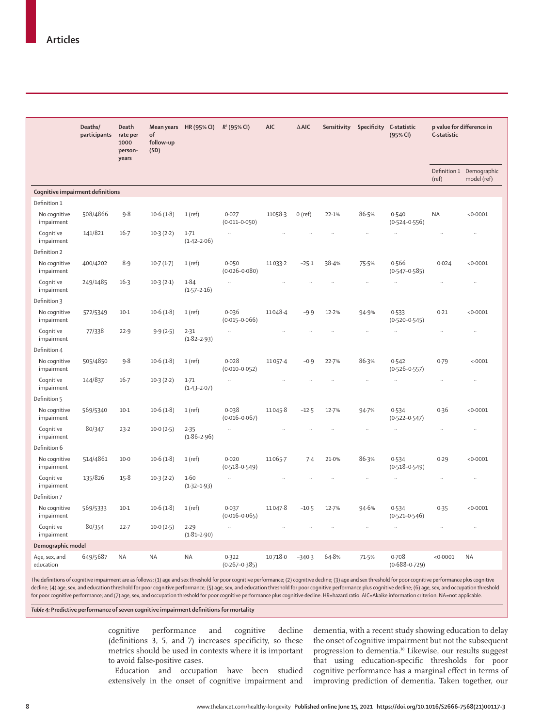|                                  | Deaths/<br>participants | <b>Death</b><br>rate per<br>1000<br>person-<br>years | Mean years<br>of<br>follow-up<br>(SD) | HR (95% CI)                 | $R^2$ (95% CI)             | <b>AIC</b> | $\triangle$ AIC | Sensitivity          | Specificity | C-statistic<br>(95% CI)    | C-statistic          | p value for difference in               |
|----------------------------------|-------------------------|------------------------------------------------------|---------------------------------------|-----------------------------|----------------------------|------------|-----------------|----------------------|-------------|----------------------------|----------------------|-----------------------------------------|
|                                  |                         |                                                      |                                       |                             |                            |            |                 |                      |             |                            | (ref)                | Definition 1 Demographic<br>model (ref) |
| Cognitive impairment definitions |                         |                                                      |                                       |                             |                            |            |                 |                      |             |                            |                      |                                         |
| Definition 1                     |                         |                                                      |                                       |                             |                            |            |                 |                      |             |                            |                      |                                         |
| No cognitive<br>impairment       | 508/4866                | 9.8                                                  | 10.6(1.8)                             | 1(ref)                      | 0.027<br>$(0.011 - 0.050)$ | 11058.3    | $0$ (ref)       | 22.1%                | 86.5%       | 0.540<br>$(0.524 - 0.556)$ | <b>NA</b>            | < 0.0001                                |
| Cognitive<br>impairment          | 141/821                 | $16 - 7$                                             | $10-3(2-2)$                           | $1 - 71$<br>$(1.42 - 2.06)$ | $\ddotsc$                  |            |                 |                      | ÷.          | ÷.                         | ÷.                   |                                         |
| Definition 2                     |                         |                                                      |                                       |                             |                            |            |                 |                      |             |                            |                      |                                         |
| No cognitive<br>impairment       | 400/4202                | 8.9                                                  | $10-7(1-7)$                           | $1$ (ref)                   | 0.050<br>$(0.026 - 0.080)$ | 11033-2    | $-25.1$         | 38.4%                | 75.5%       | 0.566<br>$(0.547 - 0.585)$ | 0.024                | < 0.0001                                |
| Cognitive<br>impairment          | 249/1485                | 16.3                                                 | $10-3(2-1)$                           | 1.84<br>$(1.57 - 2.16)$     | $\ddot{\phantom{0}}$       |            |                 |                      | .,          | .,                         | $\ddot{\phantom{0}}$ | $\ddot{\phantom{0}}$                    |
| Definition 3                     |                         |                                                      |                                       |                             |                            |            |                 |                      |             |                            |                      |                                         |
| No cognitive<br>impairment       | 572/5349                | $10-1$                                               | 10.6(1.8)                             | 1(ref)                      | 0.036<br>$(0.015 - 0.066)$ | 11048.4    | $-9.9$          | 12.2%                | 94.9%       | 0.533<br>$(0.520 - 0.545)$ | 0.21                 | < 0.0001                                |
| Cognitive<br>impairment          | 77/338                  | 22.9                                                 | 9.9(2.5)                              | 2.31<br>$(1.82 - 2.93)$     | $\ddot{\phantom{1}}$       | $\ddotsc$  | ÷.              | $\ddot{\phantom{a}}$ | à.          | $\ddot{\phantom{a}}$       | ä,                   | $\ddot{\phantom{a}}$                    |
| Definition 4                     |                         |                                                      |                                       |                             |                            |            |                 |                      |             |                            |                      |                                         |
| No cognitive<br>impairment       | 505/4850                | 9.8                                                  | 10.6(1.8)                             | $1$ (ref)                   | 0.028<br>$(0.010 - 0.052)$ | 11057.4    | $-0.9$          | 22.7%                | 86.3%       | 0.542<br>$(0.526 - 0.557)$ | 0.79                 | < 0001                                  |
| Cognitive<br>impairment          | 144/837                 | $16 - 7$                                             | $10-3(2-2)$                           | $1-71$<br>$(1.43 - 2.07)$   | $\ddotsc$                  | $\ddotsc$  |                 | $\ddot{\phantom{0}}$ | .,          | $\ddot{\phantom{a}}$       | $\ddot{\phantom{0}}$ |                                         |
| Definition 5                     |                         |                                                      |                                       |                             |                            |            |                 |                      |             |                            |                      |                                         |
| No cognitive<br>impairment       | 569/5340                | $10-1$                                               | 10.6(1.8)                             | $1$ (ref)                   | 0.038<br>$(0.016 - 0.067)$ | 11045.8    | $-12.5$         | 12.7%                | 94.7%       | 0.534<br>$(0.522 - 0.547)$ | 0.36                 | < 0.0001                                |
| Cognitive<br>impairment          | 80/347                  | 23.2                                                 | 10.0(2.5)                             | 2.35<br>$(1.86 - 2.96)$     | $\ddotsc$                  | ÷.         | ÷.              | $\ddot{\phantom{0}}$ | $\ddotsc$   | $\ddot{\phantom{a}}$       | ÷.                   | $\ddotsc$                               |
| Definition 6                     |                         |                                                      |                                       |                             |                            |            |                 |                      |             |                            |                      |                                         |
| No cognitive<br>impairment       | 514/4861                | $10-0$                                               | 10.6(1.8)                             | 1(ref)                      | 0.020<br>$(0.518 - 0.549)$ | 11065.7    | 7.4             | 21.0%                | 86.3%       | 0.534<br>$(0.518 - 0.549)$ | 0.29                 | < 0.0001                                |
| Cognitive<br>impairment          | 135/826                 | $15-8$                                               | 10.3(2.2)                             | 1.60<br>$(1.32 - 1.93)$     | $\ldots$                   | $\ddotsc$  | ÷.              | $\ddotsc$            | $\ddotsc$   | $\ddot{\phantom{1}}$       | ä,                   |                                         |
| Definition 7                     |                         |                                                      |                                       |                             |                            |            |                 |                      |             |                            |                      |                                         |
| No cognitive<br>impairment       | 569/5333                | $10-1$                                               | 10.6(1.8)                             | 1(ref)                      | 0.037<br>$(0.016 - 0.065)$ | 11047.8    | $-10.5$         | $12 - 7%$            | 94.6%       | 0.534<br>$(0.521 - 0.546)$ | 0.35                 | < 0.0001                                |
| Coqnitive<br>impairment          | 80/354                  | 22.7                                                 | 10.0(2.5)                             | 2.29<br>$(1.81 - 2.90)$     | $\ddotsc$                  |            |                 |                      | ä,          | $\ddot{\phantom{a}}$       | $\ddot{\phantom{a}}$ | $\ldots$                                |
| Demographic model                |                         |                                                      |                                       |                             |                            |            |                 |                      |             |                            |                      |                                         |
| Age, sex, and<br>education       | 649/5687                | <b>NA</b>                                            | <b>NA</b>                             | <b>NA</b>                   | 0.322<br>$(0.267 - 0.385)$ | 10718-0    | $-340.3$        | 64.8%                | 71.5%       | 0.708<br>$(0.688 - 0.729)$ | < 0.0001             | <b>NA</b>                               |
|                                  |                         |                                                      |                                       |                             |                            |            |                 |                      |             |                            |                      |                                         |

The definitions of cognitive impairment are as follows: (1) age and sex threshold for poor cognitive performance; (2) cognitive decline; (3) age and sex threshold for poor cognitive performance plus cognitive decline; (4) age, sex, and education threshold for poor cognitive performance; (5) age, sex, and education threshold for poor cognitive performance plus cognitive decline; (6) age, sex, and occupation threshold for poor cognitive performance; and (7) age, sex, and occupation threshold for poor cognitive performance plus cognitive decline. HR=hazard ratio. AIC=Akaike information criterion. NA=not applicable.

*Table 4:* **Predictive performance of seven cognitive impairment definitions for mortality**

cognitive performance and cognitive decline (definitions 3, 5, and 7) increases specificity, so these metrics should be used in contexts where it is important to avoid false-positive cases.

Education and occupation have been studied extensively in the onset of cognitive impairment and dementia, with a recent study showing education to delay the onset of cognitive impairment but not the subsequent progression to dementia.<sup>30</sup> Likewise, our results suggest that using education-specific thresholds for poor cognitive performance has a marginal effect in terms of improving prediction of dementia. Taken together, our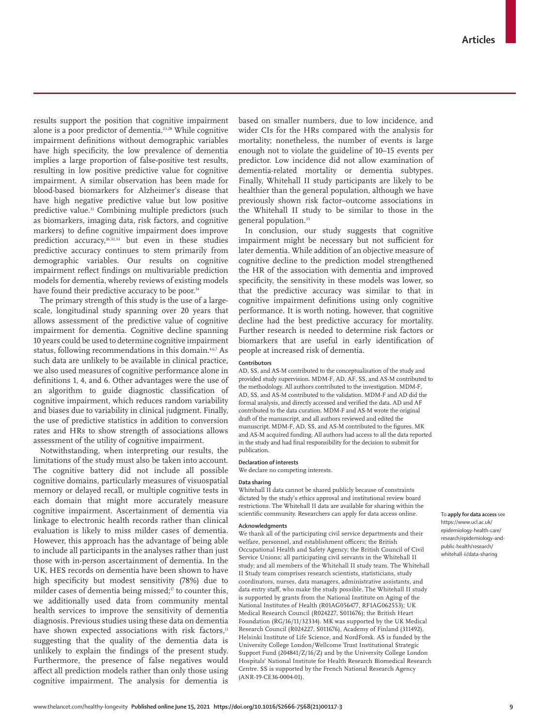results support the position that cognitive impairment alone is a poor predictor of dementia.23,28 While cognitive impairment definitions without demographic variables have high specificity, the low prevalence of dementia implies a large proportion of false-positive test results, resulting in low positive predictive value for cognitive impairment. A similar observation has been made for blood-based biomarkers for Alzheimer's disease that have high negative predictive value but low positive predictive value.<sup>31</sup> Combining multiple predictors (such as biomarkers, imaging data, risk factors, and cognitive markers) to define cognitive impairment does improve prediction accuracy,26,32,33 but even in these studies predictive accuracy continues to stem primarily from demographic variables. Our results on cognitive impairment reflect findings on multivariable prediction models for dementia, whereby reviews of existing models have found their predictive accuracy to be poor.<sup>34</sup>

The primary strength of this study is the use of a largescale, longitudinal study spanning over 20 years that allows assessment of the predictive value of cognitive impairment for dementia. Cognitive decline spanning 10 years could be used to determine cognitive impairment status, following recommendations in this domain.<sup>4,6,7</sup> As such data are unlikely to be available in clinical practice, we also used measures of cognitive performance alone in definitions 1, 4, and 6. Other advantages were the use of an algorithm to guide diagnostic classification of cognitive impairment, which reduces random variability and biases due to variability in clinical judgment. Finally, the use of predictive statistics in addition to conversion rates and HRs to show strength of associations allows assessment of the utility of cognitive impairment.

Notwithstanding, when interpreting our results, the limitations of the study must also be taken into account. The cognitive battery did not include all possible cognitive domains, particularly measures of visuospatial memory or delayed recall, or multiple cognitive tests in each domain that might more accurately measure cognitive impairment. Ascertainment of dementia via linkage to electronic health records rather than clinical evaluation is likely to miss milder cases of dementia. However, this approach has the advantage of being able to include all participants in the analyses rather than just those with in-person ascertainment of dementia. In the UK, HES records on dementia have been shown to have high specificity but modest sensitivity (78%) due to milder cases of dementia being missed;<sup>17</sup> to counter this, we additionally used data from community mental health services to improve the sensitivity of dementia diagnosis. Previous studies using these data on dementia have shown expected associations with risk factors,<sup>11</sup> suggesting that the quality of the dementia data is unlikely to explain the findings of the present study. Furthermore, the presence of false negatives would affect all prediction models rather than only those using cognitive impairment. The analysis for dementia is based on smaller numbers, due to low incidence, and wider CIs for the HRs compared with the analysis for mortality; nonetheless, the number of events is large enough not to violate the guideline of 10–15 events per predictor. Low incidence did not allow examination of dementia-related mortality or dementia subtypes. Finally, Whitehall II study participants are likely to be healthier than the general population, although we have previously shown risk factor–outcome associations in the Whitehall II study to be similar to those in the general population.<sup>35</sup>

In conclusion, our study suggests that cognitive impairment might be necessary but not sufficient for later dementia. While addition of an objective measure of cognitive decline to the prediction model strengthened the HR of the association with dementia and improved specificity, the sensitivity in these models was lower, so that the predictive accuracy was similar to that in cognitive impairment definitions using only cognitive performance. It is worth noting, however, that cognitive decline had the best predictive accuracy for mortality. Further research is needed to determine risk factors or biomarkers that are useful in early identification of people at increased risk of dementia.

## **Contributors**

AD, SS, and AS-M contributed to the conceptualisation of the study and provided study supervision. MDM-F, AD, AF, SS, and AS-M contributed to the methodology. All authors contributed to the investigation. MDM-F, AD, SS, and AS-M contributed to the validation. MDM-F and AD did the formal analysis, and directly accessed and verified the data. AD and AF contributed to the data curation. MDM-F and AS-M wrote the original draft of the manuscript, and all authors reviewed and edited the manuscript. MDM-F, AD, SS, and AS-M contributed to the figures. MK and AS-M acquired funding. All authors had access to all the data reported in the study and had final responsibility for the decision to submit for publication.

# **Declaration of interests**

We declare no competing interests.

### **Data sharing**

Whitehall II data cannot be shared publicly because of constraints dictated by the study's ethics approval and institutional review board restrictions. The Whitehall II data are available for sharing within the scientific community. Researchers can apply for data access online.

## **Acknowledgments**

We thank all of the participating civil service departments and their welfare, personnel, and establishment officers; the British Occupational Health and Safety Agency; the British Council of Civil Service Unions; all participating civil servants in the Whitehall II study; and all members of the Whitehall II study team. The Whitehall II Study team comprises research scientists, statisticians, study coordinators, nurses, data managers, administrative assistants, and data entry staff, who make the study possible. The Whitehall II study is supported by grants from the National Institute on Aging of the National Institutes of Health (R01AG056477, RF1AG062553); UK Medical Research Council (R024227, S011676); the British Heart Foundation (RG/16/11/32334). MK was supported by the UK Medical Research Council (R024227, S011676), Academy of Finland (311492), Helsinki Institute of Life Science, and NordForsk. AS is funded by the University College London/Wellcome Trust Institutional Strategic Support Fund (204841/Z/16/Z) and by the University College London Hospitals' National Institute for Health Research Biomedical Research Centre. SS is supported by the French National Research Agency (ANR-19-CE36-0004-01).